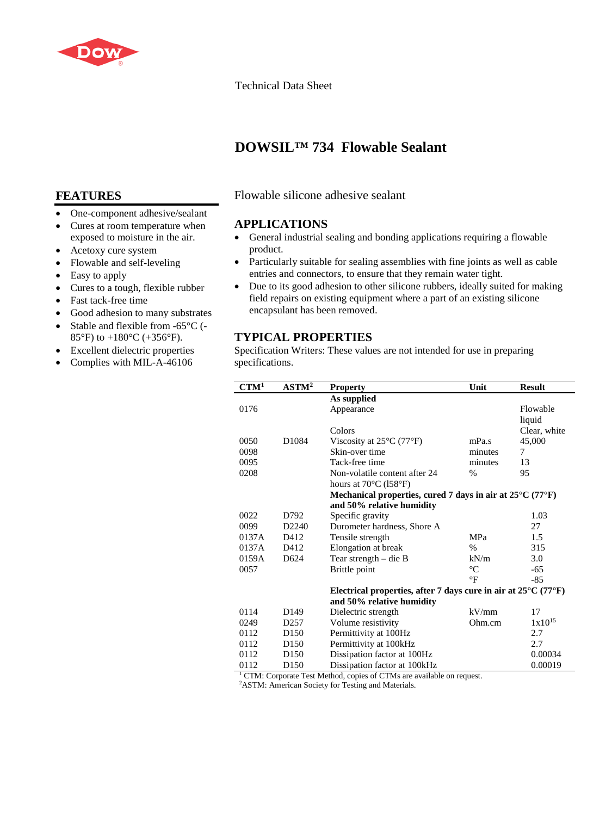

# Technical Data Sheet

# **DOWSIL™ 734 Flowable Sealant**

# **FEATURES**

- One-component adhesive/sealant
- Cures at room temperature when exposed to moisture in the air.
- Acetoxy cure system
- Flowable and self-leveling
- Easy to apply
- Cures to a tough, flexible rubber
- Fast tack-free time
- Good adhesion to many substrates
- Stable and flexible from -65°C (-85°F) to  $+180$ °C ( $+356$ °F).
- Excellent dielectric properties
- Complies with MIL-A-46106

Flowable silicone adhesive sealant

# **APPLICATIONS**

- General industrial sealing and bonding applications requiring a flowable product.
- Particularly suitable for sealing assemblies with fine joints as well as cable entries and connectors, to ensure that they remain water tight.
- Due to its good adhesion to other silicone rubbers, ideally suited for making field repairs on existing equipment where a part of an existing silicone encapsulant has been removed.

# **TYPICAL PROPERTIES**

Specification Writers: These values are not intended for use in preparing specifications.

| CTM <sup>1</sup>                                                                  | ASTM <sup>2</sup> | <b>Property</b>                                                                     | Unit            | <b>Result</b> |
|-----------------------------------------------------------------------------------|-------------------|-------------------------------------------------------------------------------------|-----------------|---------------|
|                                                                                   |                   | As supplied                                                                         |                 |               |
| 0176                                                                              |                   | Appearance                                                                          |                 | Flowable      |
|                                                                                   |                   |                                                                                     |                 | liquid        |
|                                                                                   |                   | Colors                                                                              |                 | Clear, white  |
| 0050                                                                              | D <sub>1084</sub> | Viscosity at $25^{\circ}$ C (77 $^{\circ}$ F)                                       | mPa.s           | 45,000        |
| 0098                                                                              |                   | Skin-over time                                                                      | minutes         | 7             |
| 0095                                                                              |                   | Tack-free time                                                                      | minutes         | 13            |
| 0208                                                                              |                   | Non-volatile content after 24                                                       | %               | 95            |
|                                                                                   |                   | hours at 70°C (158°F)                                                               |                 |               |
|                                                                                   |                   | Mechanical properties, cured 7 days in air at $25^{\circ}$ C (77 $^{\circ}$ F)      |                 |               |
|                                                                                   |                   | and 50% relative humidity                                                           |                 |               |
| 0022                                                                              | D792              | Specific gravity                                                                    |                 | 1.03          |
| 0099                                                                              | D <sub>2240</sub> | Durometer hardness, Shore A                                                         |                 | 27            |
| 0137A                                                                             | D412              | Tensile strength                                                                    | <b>MPa</b>      | 1.5           |
| 0137A                                                                             | D412              | Elongation at break                                                                 | $\%$            | 315           |
| 0159A                                                                             | D <sub>624</sub>  | Tear strength $-$ die B                                                             | kN/m            | 3.0           |
| 0057                                                                              |                   | Brittle point                                                                       | $\rm ^{\circ}C$ | -65           |
|                                                                                   |                   |                                                                                     | $\circ$ F       | $-85$         |
|                                                                                   |                   | Electrical properties, after 7 days cure in air at $25^{\circ}$ C (77 $^{\circ}$ F) |                 |               |
|                                                                                   |                   | and 50% relative humidity                                                           |                 |               |
| 0114                                                                              | D <sub>149</sub>  | Dielectric strength                                                                 | kV/mm           | 17            |
| 0249                                                                              | D <sub>257</sub>  | Volume resistivity                                                                  | Ohm.cm          | $1x10^{15}$   |
| 0112                                                                              | D <sub>150</sub>  | Permittivity at 100Hz                                                               |                 | 2.7           |
| 0112                                                                              | D <sub>150</sub>  | Permittivity at 100kHz                                                              |                 | 2.7           |
| 0112                                                                              | D <sub>150</sub>  | Dissipation factor at 100Hz                                                         |                 | 0.00034       |
| 0112                                                                              | D <sub>150</sub>  | Dissipation factor at 100kHz                                                        |                 | 0.00019       |
| <sup>1</sup> CTM: Corporate Test Method, copies of CTMs are available on request. |                   |                                                                                     |                 |               |

2 ASTM: American Society for Testing and Materials.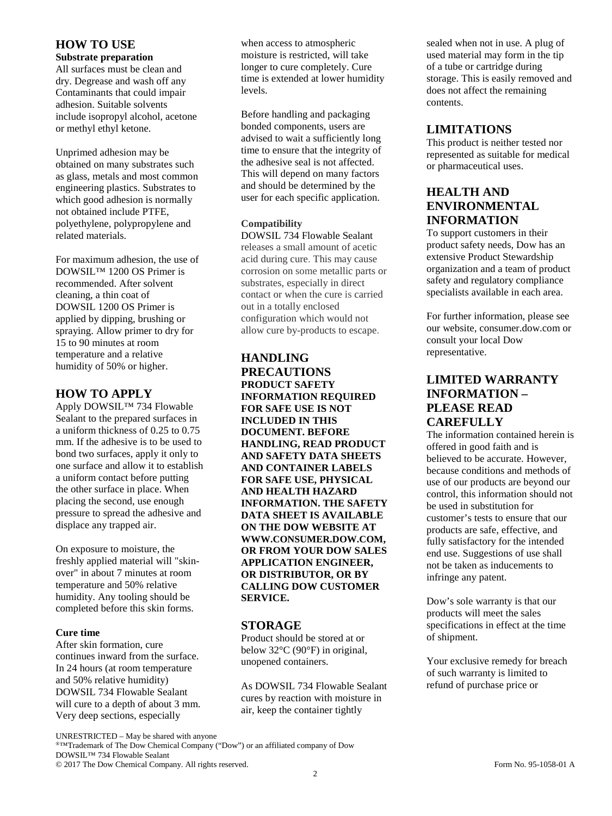### **HOW TO USE**

#### **Substrate preparation**

All surfaces must be clean and dry. Degrease and wash off any Contaminants that could impair adhesion. Suitable solvents include isopropyl alcohol, acetone or methyl ethyl ketone.

Unprimed adhesion may be obtained on many substrates such as glass, metals and most common engineering plastics. Substrates to which good adhesion is normally not obtained include PTFE, polyethylene, polypropylene and related materials.

For maximum adhesion, the use of DOWSIL™ 1200 OS Primer is recommended. After solvent cleaning, a thin coat of DOWSIL 1200 OS Primer is applied by dipping, brushing or spraying. Allow primer to dry for 15 to 90 minutes at room temperature and a relative humidity of 50% or higher.

### **HOW TO APPLY**

Apply DOWSIL™ 734 Flowable Sealant to the prepared surfaces in a uniform thickness of 0.25 to 0.75 mm. If the adhesive is to be used to bond two surfaces, apply it only to one surface and allow it to establish a uniform contact before putting the other surface in place. When placing the second, use enough pressure to spread the adhesive and displace any trapped air.

On exposure to moisture, the freshly applied material will "skinover" in about 7 minutes at room temperature and 50% relative humidity. Any tooling should be completed before this skin forms.

#### **Cure time**

After skin formation, cure continues inward from the surface. In 24 hours (at room temperature and 50% relative humidity) DOWSIL 734 Flowable Sealant will cure to a depth of about 3 mm. Very deep sections, especially

when access to atmospheric moisture is restricted, will take longer to cure completely. Cure time is extended at lower humidity levels.

Before handling and packaging bonded components, users are advised to wait a sufficiently long time to ensure that the integrity of the adhesive seal is not affected. This will depend on many factors and should be determined by the user for each specific application.

### **Compatibility**

DOWSIL 734 Flowable Sealant releases a small amount of acetic acid during cure. This may cause corrosion on some metallic parts or substrates, especially in direct contact or when the cure is carried out in a totally enclosed configuration which would not allow cure by-products to escape.

### **HANDLING PRECAUTIONS PRODUCT SAFETY INFORMATION REQUIRED FOR SAFE USE IS NOT INCLUDED IN THIS DOCUMENT. BEFORE HANDLING, READ PRODUCT AND SAFETY DATA SHEETS AND CONTAINER LABELS FOR SAFE USE, PHYSICAL AND HEALTH HAZARD INFORMATION. THE SAFETY DATA SHEET IS AVAILABLE ON THE DOW WEBSITE AT WWW.CONSUMER.DOW.COM, OR FROM YOUR DOW SALES APPLICATION ENGINEER, OR DISTRIBUTOR, OR BY CALLING DOW CUSTOMER SERVICE.**

### **STORAGE**

Product should be stored at or below 32°C (90°F) in original, unopened containers.

As DOWSIL 734 Flowable Sealant cures by reaction with moisture in air, keep the container tightly

sealed when not in use. A plug of used material may form in the tip of a tube or cartridge during storage. This is easily removed and does not affect the remaining contents.

# **LIMITATIONS**

This product is neither tested nor represented as suitable for medical or pharmaceutical uses.

# **HEALTH AND ENVIRONMENTAL INFORMATION**

To support customers in their product safety needs, Dow has an extensive Product Stewardship organization and a team of product safety and regulatory compliance specialists available in each area.

For further information, please see our website, consumer.dow.com or consult your local Dow representative.

# **LIMITED WARRANTY INFORMATION – PLEASE READ CAREFULLY**

The information contained herein is offered in good faith and is believed to be accurate. However, because conditions and methods of use of our products are beyond our control, this information should not be used in substitution for customer's tests to ensure that our products are safe, effective, and fully satisfactory for the intended end use. Suggestions of use shall not be taken as inducements to infringe any patent.

Dow's sole warranty is that our products will meet the sales specifications in effect at the time of shipment.

Your exclusive remedy for breach of such warranty is limited to refund of purchase price or

UNRESTRICTED – May be shared with anyone

®™Trademark of The Dow Chemical Company ("Dow") or an affiliated company of Dow DOWSIL™ 734 Flowable Sealant

© 2017 The Dow Chemical Company. All rights reserved. Form No. 95-1058-01 A